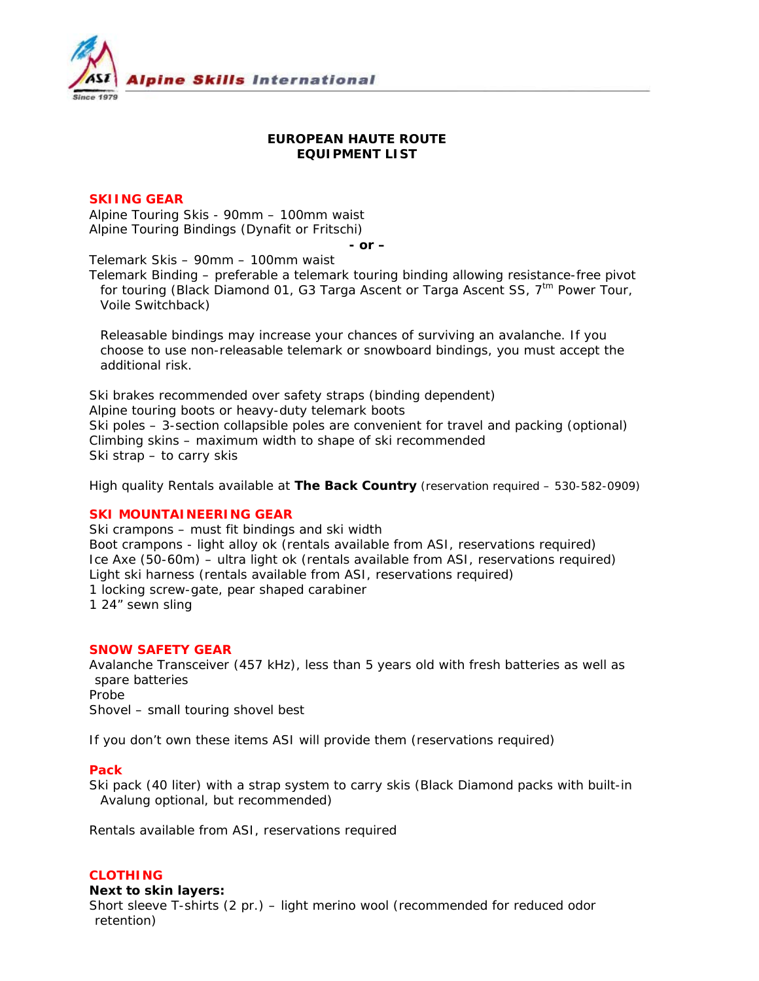

# **EUROPEAN HAUTE ROUTE EQUIPMENT LIST**

# **SKIING GEAR**

Alpine Touring Skis - 90mm – 100mm waist Alpine Touring Bindings (Dynafit or Fritschi)

*- or –* 

Telemark Skis – 90mm – 100mm waist

Telemark Binding – preferable a telemark touring binding allowing resistance-free pivot for touring (Black Diamond 01, G3 Targa Ascent or Targa Ascent SS,  $7<sup>tm</sup>$  Power Tour, Voile Switchback)

*Releasable bindings may increase your chances of surviving an avalanche. If you choose to use non-releasable telemark or snowboard bindings, you must accept the additional risk.* 

Ski brakes recommended over safety straps (binding dependent) Alpine touring boots or heavy-duty telemark boots Ski poles – 3-section collapsible poles are convenient for travel and packing (optional) Climbing skins – maximum width to shape of ski recommended Ski strap – to carry skis

*High quality Rentals available at The Back Country (reservation required – 530-582-0909)* 

# **SKI MOUNTAINEERING GEAR**

Ski crampons – must fit bindings and ski width Boot crampons - light alloy ok (rentals available from ASI, reservations required) Ice Axe (50-60m) – ultra light ok (rentals available from ASI, reservations required) Light ski harness (rentals available from ASI, reservations required) 1 locking screw-gate, pear shaped carabiner 1 24" sewn sling

#### **SNOW SAFETY GEAR**

Avalanche Transceiver (457 kHz), less than 5 years old with fresh batteries as well as spare batteries Probe Shovel – small touring shovel best

*If you don't own these items ASI will provide them (reservations required)* 

#### **Pack**

Ski pack (40 liter) with a strap system to carry skis (Black Diamond packs with built-in Avalung optional, but recommended)

*Rentals available from ASI, reservations required* 

# **CLOTHING**

**Next to skin layers:**  Short sleeve T-shirts (2 pr.) – light merino wool (recommended for reduced odor retention)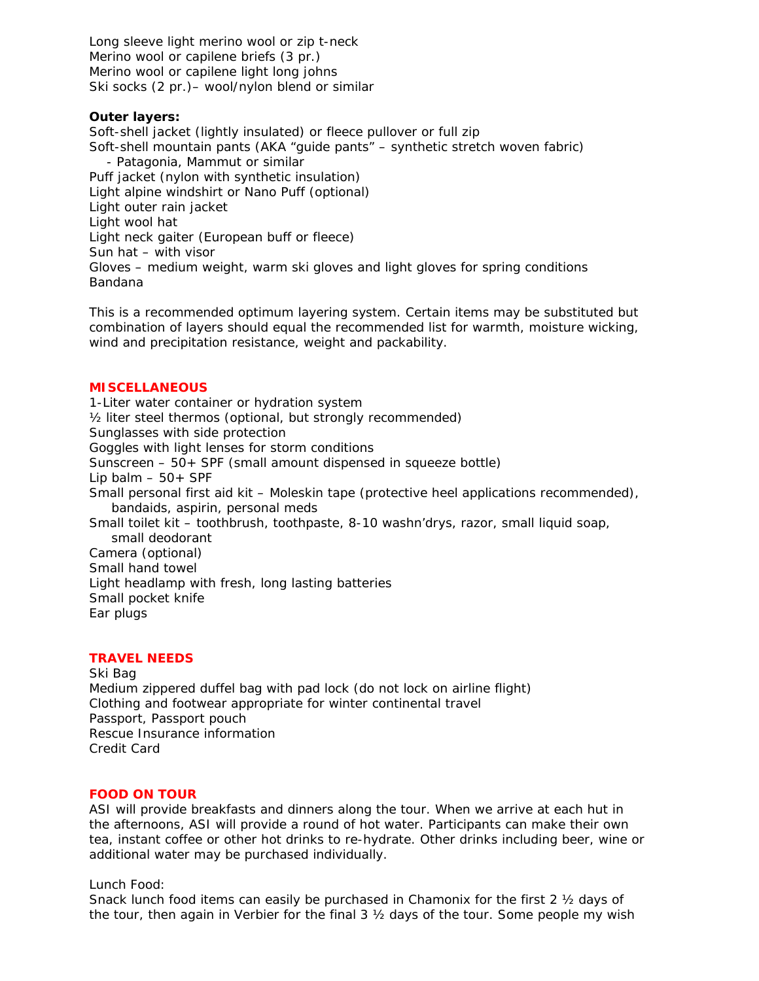Long sleeve light merino wool or zip t-neck Merino wool or capilene briefs (3 pr.) Merino wool or capilene light long johns Ski socks (2 pr.)– wool/nylon blend or similar

# **Outer layers:**

Soft-shell jacket (lightly insulated) or fleece pullover or full zip Soft-shell mountain pants (AKA "guide pants" – synthetic stretch woven fabric) - Patagonia, Mammut or similar Puff jacket (nylon with synthetic insulation) Light alpine windshirt or Nano Puff (optional) Light outer rain jacket Light wool hat Light neck gaiter (European buff or fleece) Sun hat – with visor Gloves – medium weight, warm ski gloves and light gloves for spring conditions Bandana

*This is a recommended optimum layering system. Certain items may be substituted but combination of layers should equal the recommended list for warmth, moisture wicking, wind and precipitation resistance, weight and packability.* 

# **MISCELLANEOUS**

1-Liter water container or hydration system ½ liter steel thermos (optional, but strongly recommended) Sunglasses with side protection Goggles with light lenses for storm conditions Sunscreen – 50+ SPF (small amount dispensed in squeeze bottle) Lip balm  $-50+$  SPF Small personal first aid kit – Moleskin tape (protective heel applications recommended), bandaids, aspirin, personal meds Small toilet kit – toothbrush, toothpaste, 8-10 washn'drys, razor, small liquid soap, small deodorant Camera (optional) Small hand towel Light headlamp with fresh, long lasting batteries Small pocket knife Ear plugs

#### **TRAVEL NEEDS**

Ski Bag Medium zippered duffel bag with pad lock (do not lock on airline flight) Clothing and footwear appropriate for winter continental travel Passport, Passport pouch Rescue Insurance information Credit Card

#### **FOOD ON TOUR**

ASI will provide breakfasts and dinners along the tour. When we arrive at each hut in the afternoons, ASI will provide a round of hot water. Participants can make their own tea, instant coffee or other hot drinks to re-hydrate. Other drinks including beer, wine or additional water may be purchased individually.

#### Lunch Food:

Snack lunch food items can easily be purchased in Chamonix for the first 2 ½ days of the tour, then again in Verbier for the final  $3 \frac{1}{2}$  days of the tour. Some people my wish